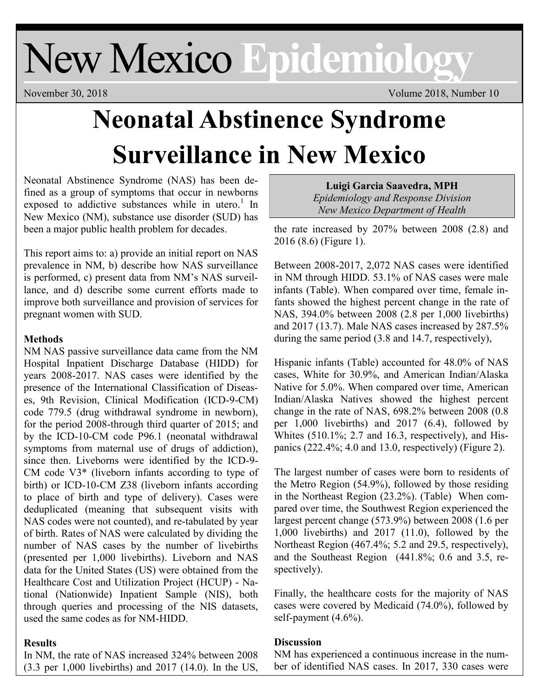# New Mexico **Epidemiology**

November 30, 2018 Volume 2018, Number 10

# **Neonatal Abstinence Syndrome Surveillance in New Mexico**

Neonatal Abstinence Syndrome (NAS) has been defined as a group of symptoms that occur in newborns exposed to addictive substances while in utero.<sup>1</sup> In New Mexico (NM), substance use disorder (SUD) has been a major public health problem for decades.

This report aims to: a) provide an initial report on NAS prevalence in NM, b) describe how NAS surveillance is performed, c) present data from NM's NAS surveillance, and d) describe some current efforts made to improve both surveillance and provision of services for pregnant women with SUD.

## **Methods**

NM NAS passive surveillance data came from the NM Hospital Inpatient Discharge Database (HIDD) for years 2008-2017. NAS cases were identified by the presence of the International Classification of Diseases, 9th Revision, Clinical Modification (ICD-9-CM) code 779.5 (drug withdrawal syndrome in newborn), for the period 2008-through third quarter of 2015; and by the ICD-10-CM code P96.1 (neonatal withdrawal symptoms from maternal use of drugs of addiction), since then. Liveborns were identified by the ICD-9- CM code V3\* (liveborn infants according to type of birth) or ICD-10-CM Z38 (liveborn infants according to place of birth and type of delivery). Cases were deduplicated (meaning that subsequent visits with NAS codes were not counted), and re-tabulated by year of birth. Rates of NAS were calculated by dividing the number of NAS cases by the number of livebirths (presented per 1,000 livebirths). Liveborn and NAS data for the United States (US) were obtained from the Healthcare Cost and Utilization Project (HCUP) - National (Nationwide) Inpatient Sample (NIS), both through queries and processing of the NIS datasets, used the same codes as for NM-HIDD.

### **Results**

In NM, the rate of NAS increased 324% between 2008 (3.3 per 1,000 livebirths) and 2017 (14.0). In the US,

**Luigi Garcia Saavedra, MPH** *Epidemiology and Response Division New Mexico Department of Health*

the rate increased by 207% between 2008 (2.8) and 2016 (8.6) (Figure 1).

Between 2008-2017, 2,072 NAS cases were identified in NM through HIDD. 53.1% of NAS cases were male infants (Table). When compared over time, female infants showed the highest percent change in the rate of NAS, 394.0% between 2008 (2.8 per 1,000 livebirths) and 2017 (13.7). Male NAS cases increased by 287.5% during the same period (3.8 and 14.7, respectively),

Hispanic infants (Table) accounted for 48.0% of NAS cases, White for 30.9%, and American Indian/Alaska Native for 5.0%. When compared over time, American Indian/Alaska Natives showed the highest percent change in the rate of NAS, 698.2% between 2008 (0.8 per 1,000 livebirths) and 2017 (6.4), followed by Whites (510.1%; 2.7 and 16.3, respectively), and Hispanics  $(222.4\%; 4.0 \text{ and } 13.0, \text{ respectively})$  (Figure 2).

The largest number of cases were born to residents of the Metro Region (54.9%), followed by those residing in the Northeast Region (23.2%). (Table) When compared over time, the Southwest Region experienced the largest percent change (573.9%) between 2008 (1.6 per 1,000 livebirths) and  $2017$  (11.0), followed by the Northeast Region (467.4%; 5.2 and 29.5, respectively), and the Southeast Region (441.8%; 0.6 and 3.5, respectively).

Finally, the healthcare costs for the majority of NAS cases were covered by Medicaid (74.0%), followed by self-payment (4.6%).

# **Discussion**

NM has experienced a continuous increase in the number of identified NAS cases. In 2017, 330 cases were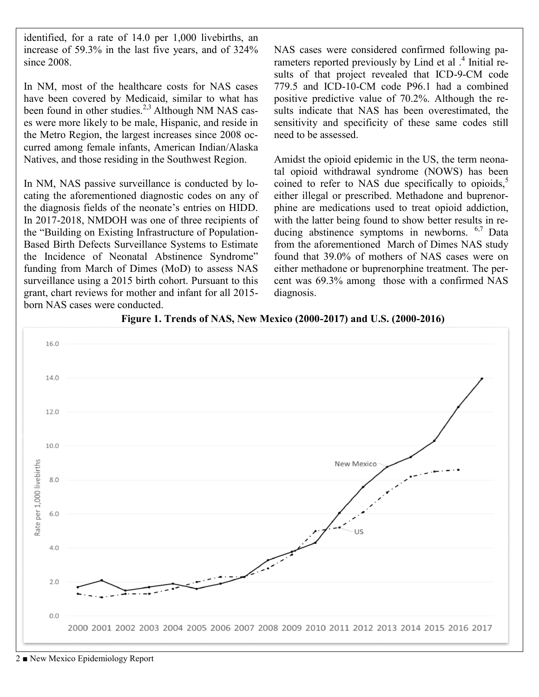identified, for a rate of 14.0 per 1,000 livebirths, an increase of 59.3% in the last five years, and of 324% since 2008.

In NM, most of the healthcare costs for NAS cases have been covered by Medicaid, similar to what has been found in other studies.<sup>2,3</sup> Although NM NAS cases were more likely to be male, Hispanic, and reside in the Metro Region, the largest increases since 2008 occurred among female infants, American Indian/Alaska Natives, and those residing in the Southwest Region.

In NM, NAS passive surveillance is conducted by locating the aforementioned diagnostic codes on any of the diagnosis fields of the neonate's entries on HIDD. In 2017-2018, NMDOH was one of three recipients of the "Building on Existing Infrastructure of Population-Based Birth Defects Surveillance Systems to Estimate the Incidence of Neonatal Abstinence Syndrome" funding from March of Dimes (MoD) to assess NAS surveillance using a 2015 birth cohort. Pursuant to this grant, chart reviews for mother and infant for all 2015 born NAS cases were conducted.

NAS cases were considered confirmed following parameters reported previously by Lind et al .<sup>4</sup> Initial results of that project revealed that ICD-9-CM code 779.5 and ICD-10-CM code P96.1 had a combined positive predictive value of 70.2%. Although the results indicate that NAS has been overestimated, the sensitivity and specificity of these same codes still need to be assessed.

Amidst the opioid epidemic in the US, the term neonatal opioid withdrawal syndrome (NOWS) has been coined to refer to NAS due specifically to opioids, $5$ either illegal or prescribed. Methadone and buprenorphine are medications used to treat opioid addiction, with the latter being found to show better results in reducing abstinence symptoms in newborns.  $6.7$  Data from the aforementioned March of Dimes NAS study found that 39.0% of mothers of NAS cases were on either methadone or buprenorphine treatment. The percent was 69.3% among those with a confirmed NAS diagnosis.



**Figure 1. Trends of NAS, New Mexico (2000-2017) and U.S. (2000-2016)**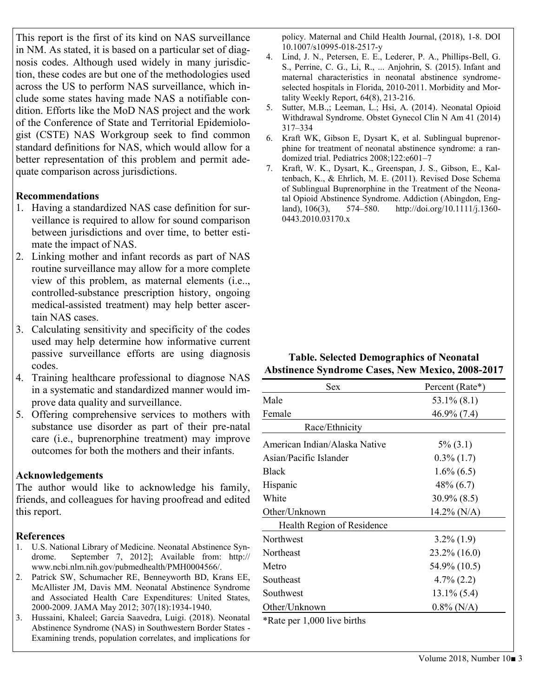This report is the first of its kind on NAS surveillance in NM. As stated, it is based on a particular set of diagnosis codes. Although used widely in many jurisdiction, these codes are but one of the methodologies used across the US to perform NAS surveillance, which include some states having made NAS a notifiable condition. Efforts like the MoD NAS project and the work of the Conference of State and Territorial Epidemiologist (CSTE) NAS Workgroup seek to find common standard definitions for NAS, which would allow for a better representation of this problem and permit adequate comparison across jurisdictions.

#### **Recommendations**

- 1. Having a standardized NAS case definition for surveillance is required to allow for sound comparison between jurisdictions and over time, to better estimate the impact of NAS.
- 2. Linking mother and infant records as part of NAS routine surveillance may allow for a more complete view of this problem, as maternal elements (i.e.., controlled-substance prescription history, ongoing medical-assisted treatment) may help better ascertain NAS cases.
- 3. Calculating sensitivity and specificity of the codes used may help determine how informative current passive surveillance efforts are using diagnosis codes.
- 4. Training healthcare professional to diagnose NAS in a systematic and standardized manner would improve data quality and surveillance.
- 5. Offering comprehensive services to mothers with substance use disorder as part of their pre-natal care (i.e., buprenorphine treatment) may improve outcomes for both the mothers and their infants.

#### **Acknowledgements**

The author would like to acknowledge his family, friends, and colleagues for having proofread and edited this report.

#### **References**

- 1. U.S. National Library of Medicine. Neonatal Abstinence Syndrome. September 7, 2012]; Available from: http:// www.ncbi.nlm.nih.gov/pubmedhealth/PMH0004566/.
- 2. Patrick SW, Schumacher RE, Benneyworth BD, Krans EE, McAllister JM, Davis MM. Neonatal Abstinence Syndrome and Associated Health Care Expenditures: United States, 2000-2009. JAMA May 2012; 307(18):1934-1940.
- 3. Hussaini, Khaleel; Garcia Saavedra, Luigi. (2018). Neonatal Abstinence Syndrome (NAS) in Southwestern Border States - Examining trends, population correlates, and implications for

policy. Maternal and Child Health Journal, (2018), 1-8. DOI 10.1007/s10995-018-2517-y

- 4. Lind, J. N., Petersen, E. E., Lederer, P. A., Phillips-Bell, G. S., Perrine, C. G., Li, R., ... Anjohrin, S. (2015). Infant and maternal characteristics in neonatal abstinence syndromeselected hospitals in Florida, 2010-2011. Morbidity and Mortality Weekly Report, 64(8), 213-216.
- 5. Sutter, M.B.,; Leeman, L.; Hsi, A. (2014). Neonatal Opioid Withdrawal Syndrome. Obstet Gynecol Clin N Am 41 (2014) 317–334
- 6. Kraft WK, Gibson E, Dysart K, et al. Sublingual buprenorphine for treatment of neonatal abstinence syndrome: a randomized trial. Pediatrics 2008;122:e601–7
- 7. Kraft, W. K., Dysart, K., Greenspan, J. S., Gibson, E., Kaltenbach, K., & Ehrlich, M. E. (2011). Revised Dose Schema of Sublingual Buprenorphine in the Treatment of the Neonatal Opioid Abstinence Syndrome. Addiction (Abingdon, England), 106(3), 574–580. http://doi.org/10.1111/j.1360- 0443.2010.03170.x

#### **Table. Selected Demographics of Neonatal Abstinence Syndrome Cases, New Mexico, 2008-2017**

| Percent (Rate*) |
|-----------------|
| $53.1\%$ (8.1)  |
| $46.9\%$ (7.4)  |
|                 |
| $5\%$ (3.1)     |
| $0.3\%$ (1.7)   |
| $1.6\% (6.5)$   |
| $48\% (6.7)$    |
| $30.9\%$ (8.5)  |
| $14.2\%$ (N/A)  |
|                 |
| $3.2\%$ (1.9)   |
| $23.2\%$ (16.0) |
| 54.9% (10.5)    |
| $4.7\%$ (2.2)   |
| $13.1\%$ (5.4)  |
| $0.8\%$ (N/A)   |
|                 |

\*Rate per 1,000 live births